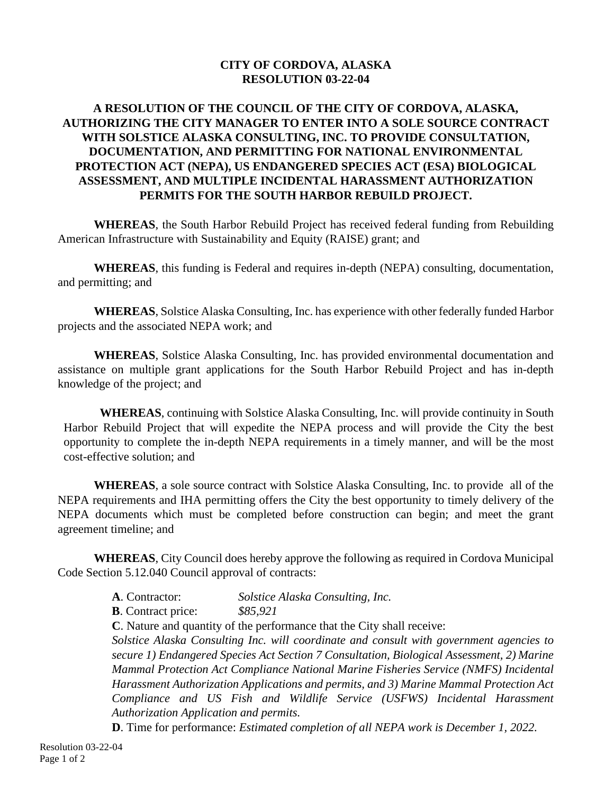## **CITY OF CORDOVA, ALASKA RESOLUTION 03-22-04**

## **A RESOLUTION OF THE COUNCIL OF THE CITY OF CORDOVA, ALASKA, AUTHORIZING THE CITY MANAGER TO ENTER INTO A SOLE SOURCE CONTRACT WITH SOLSTICE ALASKA CONSULTING, INC. TO PROVIDE CONSULTATION, DOCUMENTATION, AND PERMITTING FOR NATIONAL ENVIRONMENTAL PROTECTION ACT (NEPA), US ENDANGERED SPECIES ACT (ESA) BIOLOGICAL ASSESSMENT, AND MULTIPLE INCIDENTAL HARASSMENT AUTHORIZATION PERMITS FOR THE SOUTH HARBOR REBUILD PROJECT.**

**WHEREAS**, the South Harbor Rebuild Project has received federal funding from Rebuilding American Infrastructure with Sustainability and Equity (RAISE) grant; and

**WHEREAS**, this funding is Federal and requires in-depth (NEPA) consulting, documentation, and permitting; and

**WHEREAS**, Solstice Alaska Consulting, Inc. has experience with other federally funded Harbor projects and the associated NEPA work; and

**WHEREAS**, Solstice Alaska Consulting, Inc. has provided environmental documentation and assistance on multiple grant applications for the South Harbor Rebuild Project and has in-depth knowledge of the project; and

**WHEREAS**, continuing with Solstice Alaska Consulting, Inc. will provide continuity in South Harbor Rebuild Project that will expedite the NEPA process and will provide the City the best opportunity to complete the in-depth NEPA requirements in a timely manner, and will be the most cost-effective solution; and

**WHEREAS**, a sole source contract with Solstice Alaska Consulting, Inc. to provide all of the NEPA requirements and IHA permitting offers the City the best opportunity to timely delivery of the NEPA documents which must be completed before construction can begin; and meet the grant agreement timeline; and

**WHEREAS**, City Council does hereby approve the following as required in Cordova Municipal Code Section 5.12.040 Council approval of contracts:

**A**. Contractor: *Solstice Alaska Consulting, Inc.*

**B**. Contract price: *\$85,921*

**C**. Nature and quantity of the performance that the City shall receive:

*Solstice Alaska Consulting Inc. will coordinate and consult with government agencies to secure 1) Endangered Species Act Section 7 Consultation, Biological Assessment, 2) Marine Mammal Protection Act Compliance National Marine Fisheries Service (NMFS) Incidental Harassment Authorization Applications and permits, and 3) Marine Mammal Protection Act Compliance and US Fish and Wildlife Service (USFWS) Incidental Harassment Authorization Application and permits.* 

**D**. Time for performance: *Estimated completion of all NEPA work is December 1, 2022.*